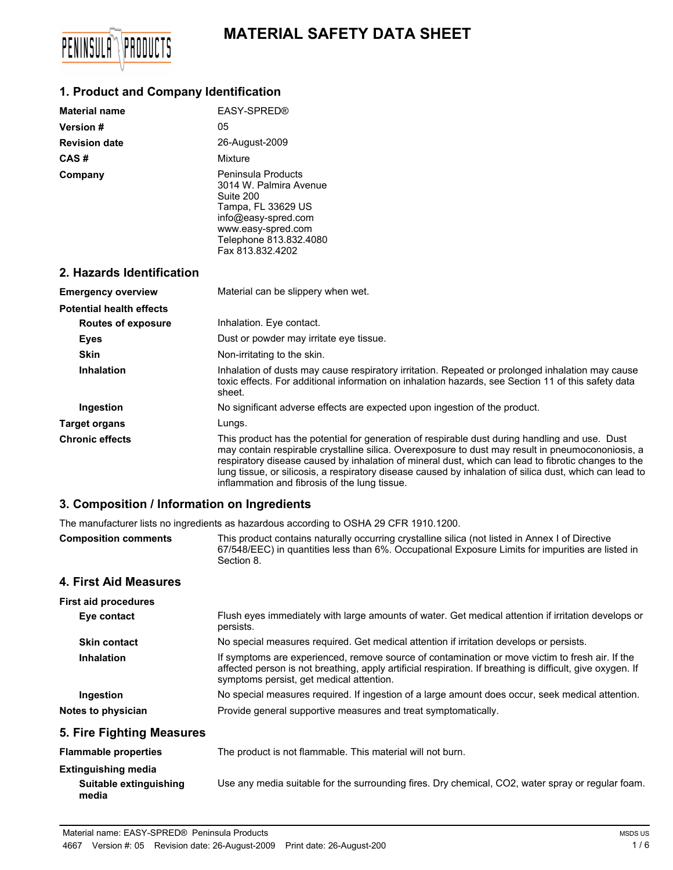# **MATERIAL SAFETY DATA SHEET**



## **1. Product and Company Identification**

| <b>Material name</b>                        | EASY-SPRED®                                                                                                                                                                                                                                                                                                                                                                                                                                                            |  |
|---------------------------------------------|------------------------------------------------------------------------------------------------------------------------------------------------------------------------------------------------------------------------------------------------------------------------------------------------------------------------------------------------------------------------------------------------------------------------------------------------------------------------|--|
| Version #                                   | 05                                                                                                                                                                                                                                                                                                                                                                                                                                                                     |  |
| <b>Revision date</b>                        | 26-August-2009                                                                                                                                                                                                                                                                                                                                                                                                                                                         |  |
| CAS#                                        | Mixture                                                                                                                                                                                                                                                                                                                                                                                                                                                                |  |
| Company                                     | <b>Peninsula Products</b><br>3014 W. Palmira Avenue<br>Suite 200<br>Tampa, FL 33629 US<br>info@easy-spred.com<br>www.easy-spred.com<br>Telephone 813.832.4080<br>Fax 813.832.4202                                                                                                                                                                                                                                                                                      |  |
| 2. Hazards Identification                   |                                                                                                                                                                                                                                                                                                                                                                                                                                                                        |  |
| <b>Emergency overview</b>                   | Material can be slippery when wet.                                                                                                                                                                                                                                                                                                                                                                                                                                     |  |
| <b>Potential health effects</b>             |                                                                                                                                                                                                                                                                                                                                                                                                                                                                        |  |
| <b>Routes of exposure</b>                   | Inhalation. Eye contact.                                                                                                                                                                                                                                                                                                                                                                                                                                               |  |
| <b>Eyes</b>                                 | Dust or powder may irritate eye tissue.                                                                                                                                                                                                                                                                                                                                                                                                                                |  |
| <b>Skin</b>                                 | Non-irritating to the skin.                                                                                                                                                                                                                                                                                                                                                                                                                                            |  |
| <b>Inhalation</b>                           | Inhalation of dusts may cause respiratory irritation. Repeated or prolonged inhalation may cause<br>toxic effects. For additional information on inhalation hazards, see Section 11 of this safety data<br>sheet.                                                                                                                                                                                                                                                      |  |
| <b>Ingestion</b>                            | No significant adverse effects are expected upon ingestion of the product.                                                                                                                                                                                                                                                                                                                                                                                             |  |
| <b>Target organs</b>                        | Lungs.                                                                                                                                                                                                                                                                                                                                                                                                                                                                 |  |
| <b>Chronic effects</b>                      | This product has the potential for generation of respirable dust during handling and use. Dust<br>may contain respirable crystalline silica. Overexposure to dust may result in pneumocononiosis, a<br>respiratory disease caused by inhalation of mineral dust, which can lead to fibrotic changes to the<br>lung tissue, or silicosis, a respiratory disease caused by inhalation of silica dust, which can lead to<br>inflammation and fibrosis of the lung tissue. |  |
| 3. Composition / Information on Ingredients |                                                                                                                                                                                                                                                                                                                                                                                                                                                                        |  |

# The manufacturer lists no ingredients as hazardous according to OSHA 29 CFR 1910.1200.

**Composition comments** This product contains naturally occurring crystalline silica (not listed in Annex I of Directive 67/548/EEC) in quantities less than 6%. Occupational Exposure Limits for impurities are listed in Section 8.

# **4. First Aid Measures**

| <b>First aid procedures</b> |                                                                                                                                                                                                                                                           |
|-----------------------------|-----------------------------------------------------------------------------------------------------------------------------------------------------------------------------------------------------------------------------------------------------------|
| Eye contact                 | Flush eyes immediately with large amounts of water. Get medical attention if irritation develops or<br>persists.                                                                                                                                          |
| <b>Skin contact</b>         | No special measures required. Get medical attention if irritation develops or persists.                                                                                                                                                                   |
| <b>Inhalation</b>           | If symptoms are experienced, remove source of contamination or move victim to fresh air. If the<br>affected person is not breathing, apply artificial respiration. If breathing is difficult, give oxygen. If<br>symptoms persist, get medical attention. |
| Ingestion                   | No special measures required. If ingestion of a large amount does occur, seek medical attention.                                                                                                                                                          |
| Notes to physician          | Provide general supportive measures and treat symptomatically.                                                                                                                                                                                            |
| 5. Fire Fighting Measures   |                                                                                                                                                                                                                                                           |
| <b>Flammable properties</b> | The product is not flammable. This material will not burn.                                                                                                                                                                                                |
| Evtinguiching modic         |                                                                                                                                                                                                                                                           |

| Extinguisning media    |                                                                                                   |
|------------------------|---------------------------------------------------------------------------------------------------|
| Suitable extinguishing | Use any media suitable for the surrounding fires. Dry chemical, CO2, water spray or regular foam. |
| media                  |                                                                                                   |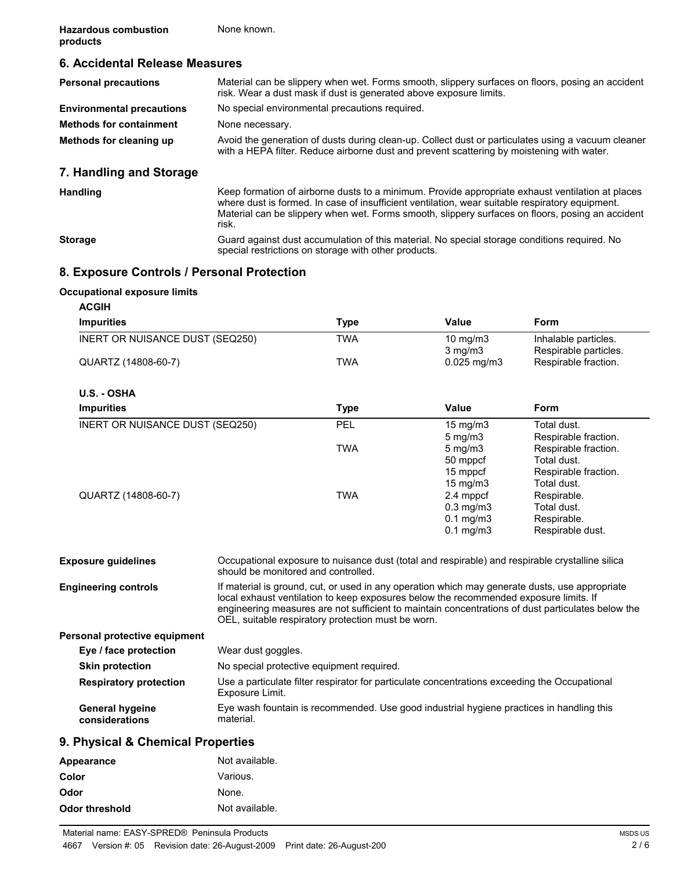## **6. Accidental Release Measures**

| <b>Personal precautions</b>      | Material can be slippery when wet. Forms smooth, slippery surfaces on floors, posing an accident<br>risk. Wear a dust mask if dust is generated above exposure limits.                          |
|----------------------------------|-------------------------------------------------------------------------------------------------------------------------------------------------------------------------------------------------|
| <b>Environmental precautions</b> | No special environmental precautions required.                                                                                                                                                  |
| <b>Methods for containment</b>   | None necessary.                                                                                                                                                                                 |
| Methods for cleaning up          | Avoid the generation of dusts during clean-up. Collect dust or particulates using a vacuum cleaner<br>with a HEPA filter. Reduce airborne dust and prevent scattering by moistening with water. |
| 7. Handling and Storage          |                                                                                                                                                                                                 |
| <b>Handling</b>                  | Keep formation of airborne dusts to a minimum. Provide appropriate exhaust ventilation at places                                                                                                |

risk. **Storage** Guard against dust accumulation of this material. No special storage conditions required. No special restrictions on storage with other products.

where dust is formed. In case of insufficient ventilation, wear suitable respiratory equipment. Material can be slippery when wet. Forms smooth, slippery surfaces on floors, posing an accident

### **8. Exposure Controls / Personal Protection**

#### **Occupational exposure limits**

| <b>Impurities</b>               | <b>Type</b> | Value                | <b>Form</b>           |
|---------------------------------|-------------|----------------------|-----------------------|
| INERT OR NUISANCE DUST (SEQ250) | TWA         | 10 $mg/m3$           | Inhalable particles.  |
|                                 |             | $3$ mg/m $3$         | Respirable particles. |
| QUARTZ (14808-60-7)             | TWA         | $0.025$ mg/m3        | Respirable fraction.  |
| U.S. - OSHA                     |             |                      |                       |
| <b>Impurities</b>               | <b>Type</b> | Value                | <b>Form</b>           |
| INERT OR NUISANCE DUST (SEQ250) | <b>PEL</b>  | $15 \text{ mg/m}$    | Total dust.           |
|                                 |             | $5 \text{ mg/m}$     | Respirable fraction.  |
|                                 | TWA         | $5 \text{ mg/m}$     | Respirable fraction.  |
|                                 |             | 50 mppcf             | Total dust.           |
|                                 |             | 15 mppcf             | Respirable fraction.  |
|                                 |             | $15 \text{ mg/m}$    | Total dust.           |
| QUARTZ (14808-60-7)             | <b>TWA</b>  | 2.4 mppcf            | Respirable.           |
|                                 |             | $0.3$ mg/m $3$       | Total dust.           |
|                                 |             | $0.1 \text{ mg/m}$ 3 | Respirable.           |
|                                 |             | $0.1$ mg/m $3$       | Respirable dust.      |

**Exposure guidelines** Occupational exposure to nuisance dust (total and respirable) and respirable crystalline silica should be monitored and controlled. **Engineering controls** If material is ground, cut, or used in any operation which may generate dusts, use appropriate local exhaust ventilation to keep exposures below the recommended exposure limits. If engineering measures are not sufficient to maintain concentrations of dust particulates below the OEL, suitable respiratory protection must be worn.

**Personal protective equipment**

| Eye / face protection                    | Wear dust goggles.                                                                                               |
|------------------------------------------|------------------------------------------------------------------------------------------------------------------|
| <b>Skin protection</b>                   | No special protective equipment required.                                                                        |
| <b>Respiratory protection</b>            | Use a particulate filter respirator for particulate concentrations exceeding the Occupational<br>Exposure Limit. |
| <b>General hygeine</b><br>considerations | Eye wash fountain is recommended. Use good industrial hygiene practices in handling this<br>material.            |

### **9. Physical & Chemical Properties**

| Appearance     | Not available. |
|----------------|----------------|
| Color          | Various.       |
| Odor           | None.          |
| Odor threshold | Not available. |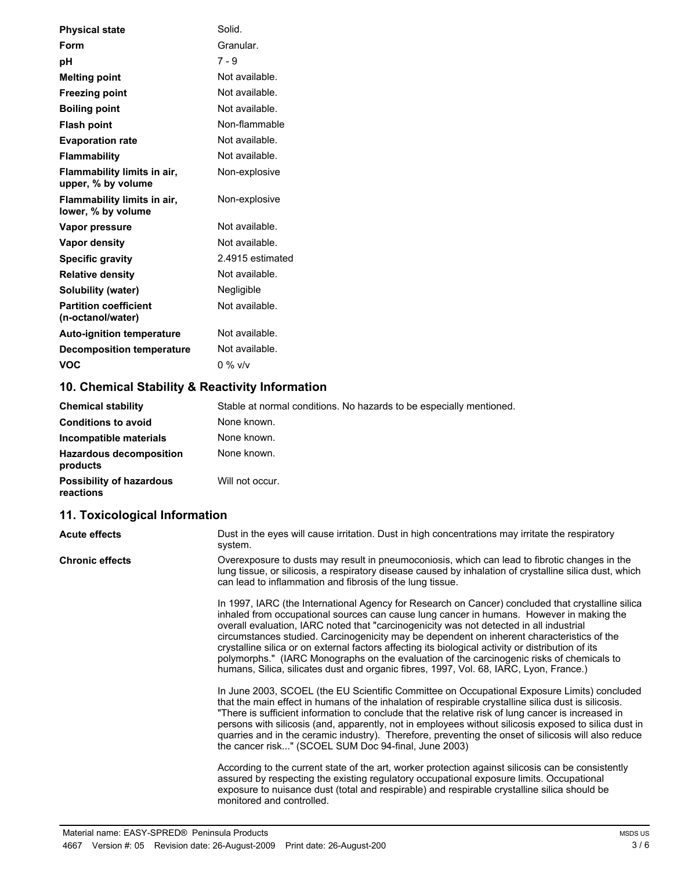| <b>Physical state</b>                             | Solid.           |
|---------------------------------------------------|------------------|
| Form                                              | Granular.        |
| рH                                                | 7 - 9            |
| <b>Melting point</b>                              | Not available.   |
| <b>Freezing point</b>                             | Not available.   |
| <b>Boiling point</b>                              | Not available.   |
| <b>Flash point</b>                                | Non-flammable    |
| <b>Evaporation rate</b>                           | Not available.   |
| <b>Flammability</b>                               | Not available.   |
| Flammability limits in air,<br>upper, % by volume | Non-explosive    |
| Flammability limits in air,<br>lower, % by volume | Non-explosive    |
| Vapor pressure                                    | Not available.   |
| Vapor density                                     | Not available.   |
| <b>Specific gravity</b>                           | 2.4915 estimated |
| <b>Relative density</b>                           | Not available.   |
| <b>Solubility (water)</b>                         | Negligible       |
| <b>Partition coefficient</b><br>(n-octanol/water) | Not available.   |
| <b>Auto-ignition temperature</b>                  | Not available.   |
| <b>Decomposition temperature</b>                  | Not available.   |
| VOC                                               | 0 % v/v          |

# **10. Chemical Stability & Reactivity Information**

| <b>Chemical stability</b>                    | Stable at normal conditions. No hazards to be especially mentioned. |
|----------------------------------------------|---------------------------------------------------------------------|
| <b>Conditions to avoid</b>                   | None known.                                                         |
| Incompatible materials                       | None known.                                                         |
| <b>Hazardous decomposition</b><br>products   | None known.                                                         |
| <b>Possibility of hazardous</b><br>reactions | Will not occur.                                                     |

# **11. Toxicological Information**

| <b>Acute effects</b>                                                                                                                                                                                                                                                                                                                                                                                                                                                                                                                                                               | Dust in the eyes will cause irritation. Dust in high concentrations may irritate the respiratory<br>system.                                                                                                                                                                                                                                                                                                                                                                                                                                                                                                                                                                         |
|------------------------------------------------------------------------------------------------------------------------------------------------------------------------------------------------------------------------------------------------------------------------------------------------------------------------------------------------------------------------------------------------------------------------------------------------------------------------------------------------------------------------------------------------------------------------------------|-------------------------------------------------------------------------------------------------------------------------------------------------------------------------------------------------------------------------------------------------------------------------------------------------------------------------------------------------------------------------------------------------------------------------------------------------------------------------------------------------------------------------------------------------------------------------------------------------------------------------------------------------------------------------------------|
| <b>Chronic effects</b>                                                                                                                                                                                                                                                                                                                                                                                                                                                                                                                                                             | Overexposure to dusts may result in pneumoconiosis, which can lead to fibrotic changes in the<br>lung tissue, or silicosis, a respiratory disease caused by inhalation of crystalline silica dust, which<br>can lead to inflammation and fibrosis of the lung tissue.                                                                                                                                                                                                                                                                                                                                                                                                               |
|                                                                                                                                                                                                                                                                                                                                                                                                                                                                                                                                                                                    | In 1997, IARC (the International Agency for Research on Cancer) concluded that crystalline silica<br>inhaled from occupational sources can cause lung cancer in humans. However in making the<br>overall evaluation, IARC noted that "carcinogenicity was not detected in all industrial<br>circumstances studied. Carcinogenicity may be dependent on inherent characteristics of the<br>crystalline silica or on external factors affecting its biological activity or distribution of its<br>polymorphs." (IARC Monographs on the evaluation of the carcinogenic risks of chemicals to<br>humans, Silica, silicates dust and organic fibres, 1997, Vol. 68, IARC, Lyon, France.) |
| In June 2003, SCOEL (the EU Scientific Committee on Occupational Exposure Limits) concluded<br>that the main effect in humans of the inhalation of respirable crystalline silica dust is silicosis.<br>"There is sufficient information to conclude that the relative risk of lung cancer is increased in<br>persons with silicosis (and, apparently, not in employees without silicosis exposed to silica dust in<br>quarries and in the ceramic industry). Therefore, preventing the onset of silicosis will also reduce<br>the cancer risk" (SCOEL SUM Doc 94-final, June 2003) |                                                                                                                                                                                                                                                                                                                                                                                                                                                                                                                                                                                                                                                                                     |
|                                                                                                                                                                                                                                                                                                                                                                                                                                                                                                                                                                                    | According to the current state of the art, worker protection against silicosis can be consistently<br>assured by respecting the existing regulatory occupational exposure limits. Occupational<br>exposure to nuisance dust (total and respirable) and respirable crystalline silica should be<br>monitored and controlled.                                                                                                                                                                                                                                                                                                                                                         |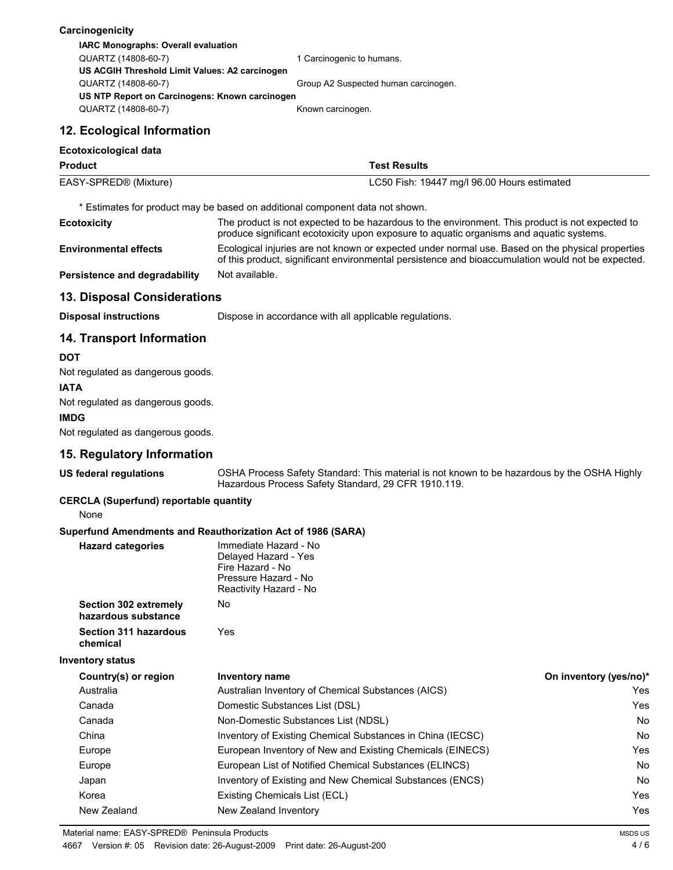| Carcinogenicity                                             |                                                                                                                                                                                                       |                        |  |  |  |
|-------------------------------------------------------------|-------------------------------------------------------------------------------------------------------------------------------------------------------------------------------------------------------|------------------------|--|--|--|
| IARC Monographs: Overall evaluation                         |                                                                                                                                                                                                       |                        |  |  |  |
| QUARTZ (14808-60-7)                                         | 1 Carcinogenic to humans.                                                                                                                                                                             |                        |  |  |  |
| US ACGIH Threshold Limit Values: A2 carcinogen              |                                                                                                                                                                                                       |                        |  |  |  |
| QUARTZ (14808-60-7)                                         | Group A2 Suspected human carcinogen.                                                                                                                                                                  |                        |  |  |  |
| QUARTZ (14808-60-7)                                         | US NTP Report on Carcinogens: Known carcinogen<br>Known carcinogen.                                                                                                                                   |                        |  |  |  |
| 12. Ecological Information                                  |                                                                                                                                                                                                       |                        |  |  |  |
| Ecotoxicological data                                       |                                                                                                                                                                                                       |                        |  |  |  |
| <b>Product</b>                                              | <b>Test Results</b>                                                                                                                                                                                   |                        |  |  |  |
| EASY-SPRED® (Mixture)                                       | LC50 Fish: 19447 mg/l 96.00 Hours estimated                                                                                                                                                           |                        |  |  |  |
|                                                             | * Estimates for product may be based on additional component data not shown.                                                                                                                          |                        |  |  |  |
| <b>Ecotoxicity</b>                                          | The product is not expected to be hazardous to the environment. This product is not expected to<br>produce significant ecotoxicity upon exposure to aquatic organisms and aquatic systems.            |                        |  |  |  |
| <b>Environmental effects</b>                                | Ecological injuries are not known or expected under normal use. Based on the physical properties<br>of this product, significant environmental persistence and bioaccumulation would not be expected. |                        |  |  |  |
| Persistence and degradability                               | Not available.                                                                                                                                                                                        |                        |  |  |  |
| 13. Disposal Considerations                                 |                                                                                                                                                                                                       |                        |  |  |  |
| <b>Disposal instructions</b>                                | Dispose in accordance with all applicable regulations.                                                                                                                                                |                        |  |  |  |
| <b>14. Transport Information</b>                            |                                                                                                                                                                                                       |                        |  |  |  |
| <b>DOT</b>                                                  |                                                                                                                                                                                                       |                        |  |  |  |
| Not regulated as dangerous goods.                           |                                                                                                                                                                                                       |                        |  |  |  |
| <b>IATA</b>                                                 |                                                                                                                                                                                                       |                        |  |  |  |
| Not regulated as dangerous goods.                           |                                                                                                                                                                                                       |                        |  |  |  |
| <b>IMDG</b>                                                 |                                                                                                                                                                                                       |                        |  |  |  |
| Not regulated as dangerous goods.                           |                                                                                                                                                                                                       |                        |  |  |  |
| 15. Regulatory Information                                  |                                                                                                                                                                                                       |                        |  |  |  |
| <b>US federal regulations</b>                               | OSHA Process Safety Standard: This material is not known to be hazardous by the OSHA Highly                                                                                                           |                        |  |  |  |
|                                                             | Hazardous Process Safety Standard, 29 CFR 1910.119.                                                                                                                                                   |                        |  |  |  |
| <b>CERCLA (Superfund) reportable quantity</b><br>None       |                                                                                                                                                                                                       |                        |  |  |  |
| Superfund Amendments and Reauthorization Act of 1986 (SARA) |                                                                                                                                                                                                       |                        |  |  |  |
| <b>Hazard categories</b>                                    | Immediate Hazard - No                                                                                                                                                                                 |                        |  |  |  |
|                                                             | Delayed Hazard - Yes<br>Fire Hazard - No                                                                                                                                                              |                        |  |  |  |
|                                                             | Pressure Hazard - No                                                                                                                                                                                  |                        |  |  |  |
|                                                             | Reactivity Hazard - No                                                                                                                                                                                |                        |  |  |  |
| Section 302 extremely<br>hazardous substance                | No.                                                                                                                                                                                                   |                        |  |  |  |
| Section 311 hazardous<br>chemical                           | Yes                                                                                                                                                                                                   |                        |  |  |  |
| <b>Inventory status</b>                                     |                                                                                                                                                                                                       |                        |  |  |  |
| Country(s) or region                                        | <b>Inventory name</b>                                                                                                                                                                                 | On inventory (yes/no)* |  |  |  |
| Australia                                                   | Australian Inventory of Chemical Substances (AICS)                                                                                                                                                    | Yes                    |  |  |  |
| Canada                                                      | Domestic Substances List (DSL)                                                                                                                                                                        | Yes                    |  |  |  |
| Canada                                                      | Non-Domestic Substances List (NDSL)                                                                                                                                                                   | No.                    |  |  |  |
| China                                                       | Inventory of Existing Chemical Substances in China (IECSC)                                                                                                                                            | No                     |  |  |  |
| Europe                                                      | European Inventory of New and Existing Chemicals (EINECS)                                                                                                                                             | Yes                    |  |  |  |
| Europe                                                      | European List of Notified Chemical Substances (ELINCS)                                                                                                                                                | No.                    |  |  |  |
| Japan                                                       | Inventory of Existing and New Chemical Substances (ENCS)                                                                                                                                              | No.                    |  |  |  |
| Korea                                                       | Existing Chemicals List (ECL)                                                                                                                                                                         | Yes                    |  |  |  |
| New Zealand                                                 | New Zealand Inventory                                                                                                                                                                                 | Yes                    |  |  |  |

Material name: EASY-SPRED® Peninsula Products

4667 Version #: 05 Revision date: 26-August-2009 Print date: 26-August-200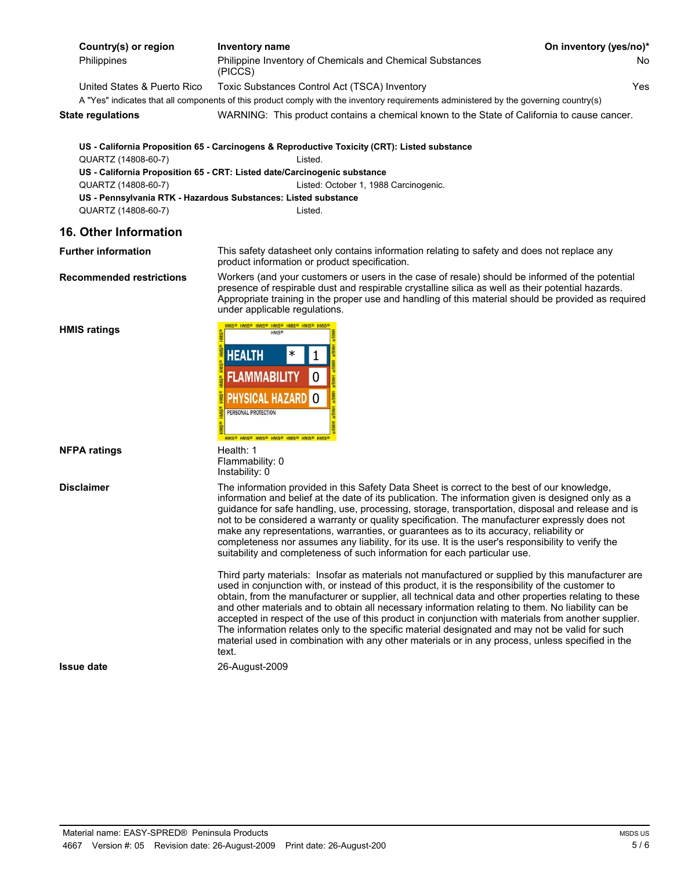| Philippine Inventory of Chemicals and Chemical Substances<br><b>Philippines</b><br>No.<br>(PICCS)<br>Yes.<br>United States & Puerto Rico<br>Toxic Substances Control Act (TSCA) Inventory<br>A "Yes" indicates that all components of this product comply with the inventory requirements administered by the governing country(s)<br>WARNING: This product contains a chemical known to the State of California to cause cancer.<br>State regulations<br>US - California Proposition 65 - Carcinogens & Reproductive Toxicity (CRT): Listed substance<br>QUARTZ (14808-60-7)<br>Listed.<br>US - California Proposition 65 - CRT: Listed date/Carcinogenic substance<br>QUARTZ (14808-60-7)<br>Listed: October 1, 1988 Carcinogenic.<br>US - Pennsylvania RTK - Hazardous Substances: Listed substance<br>Listed. | Country(s) or region | Inventory name | On inventory (yes/no)* |
|-------------------------------------------------------------------------------------------------------------------------------------------------------------------------------------------------------------------------------------------------------------------------------------------------------------------------------------------------------------------------------------------------------------------------------------------------------------------------------------------------------------------------------------------------------------------------------------------------------------------------------------------------------------------------------------------------------------------------------------------------------------------------------------------------------------------|----------------------|----------------|------------------------|
|                                                                                                                                                                                                                                                                                                                                                                                                                                                                                                                                                                                                                                                                                                                                                                                                                   |                      |                |                        |
|                                                                                                                                                                                                                                                                                                                                                                                                                                                                                                                                                                                                                                                                                                                                                                                                                   |                      |                |                        |
|                                                                                                                                                                                                                                                                                                                                                                                                                                                                                                                                                                                                                                                                                                                                                                                                                   |                      |                |                        |
|                                                                                                                                                                                                                                                                                                                                                                                                                                                                                                                                                                                                                                                                                                                                                                                                                   |                      |                |                        |
|                                                                                                                                                                                                                                                                                                                                                                                                                                                                                                                                                                                                                                                                                                                                                                                                                   |                      |                |                        |
|                                                                                                                                                                                                                                                                                                                                                                                                                                                                                                                                                                                                                                                                                                                                                                                                                   |                      |                |                        |
|                                                                                                                                                                                                                                                                                                                                                                                                                                                                                                                                                                                                                                                                                                                                                                                                                   |                      |                |                        |
|                                                                                                                                                                                                                                                                                                                                                                                                                                                                                                                                                                                                                                                                                                                                                                                                                   |                      |                |                        |
|                                                                                                                                                                                                                                                                                                                                                                                                                                                                                                                                                                                                                                                                                                                                                                                                                   |                      |                |                        |
|                                                                                                                                                                                                                                                                                                                                                                                                                                                                                                                                                                                                                                                                                                                                                                                                                   | QUARTZ (14808-60-7)  |                |                        |

 $\Omega$ 

 $*$  1

**PHYSICAL HAZARD O** 

**FLAMMABILITY** 

HMIS® HMIS® HMIS® HMIS® HMIS®<br>HMIS®

Flammability: 0 Instability: 0

PERSONAL PROTECTION

**HEALTH** 

### **16. Other Information**

**Further information** This safety datasheet only contains information relating to safety and does not replace any product information or product specification.

**Recommended restrictions** Workers (and your customers or users in the case of resale) should be informed of the potential presence of respirable dust and respirable crystalline silica as well as their potential hazards. Appropriate training in the proper use and handling of this material should be provided as required under applicable regulations.

**HMIS ratings**

**Disclaimer** The information provided in this Safety Data Sheet is correct to the best of our knowledge, information and belief at the date of its publication. The information given is designed only as a guidance for safe handling, use, processing, storage, transportation, disposal and release and is not to be considered a warranty or quality specification. The manufacturer expressly does not make any representations, warranties, or guarantees as to its accuracy, reliability or completeness nor assumes any liability, for its use. It is the user's responsibility to verify the suitability and completeness of such information for each particular use.

> Third party materials: Insofar as materials not manufactured or supplied by this manufacturer are used in conjunction with, or instead of this product, it is the responsibility of the customer to obtain, from the manufacturer or supplier, all technical data and other properties relating to these and other materials and to obtain all necessary information relating to them. No liability can be accepted in respect of the use of this product in conjunction with materials from another supplier. The information relates only to the specific material designated and may not be valid for such material used in combination with any other materials or in any process, unless specified in the text.

**Issue date** 26-August-2009